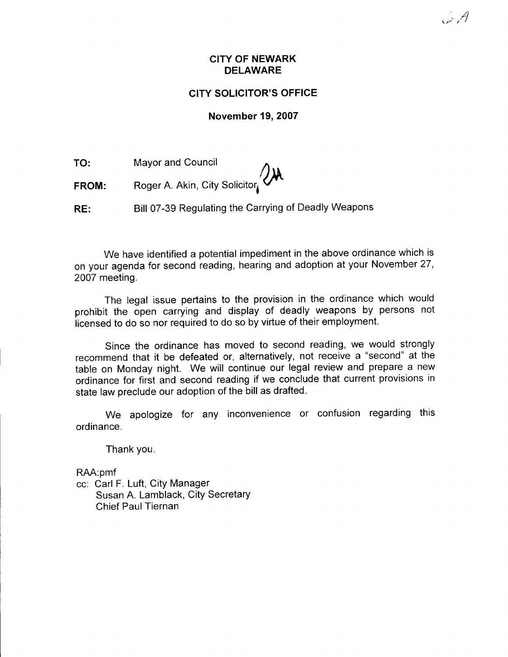.' , $\Lambda$ t,/ t' t

## GITY SOLICITOR'S OFFICE

#### November 19.2007

TO: Mayor and Council

FROM: Roger A. Akin, City Solicitor

RE: Bill 07-39 Regulating the Carrying of Deadly Weapons

We have identified a potential impediment in the above ordinance which is on your agenda for second reading, hearing and adoption at your November 27, 2007 meeting.

The legal issue pertains to the provision in the ordinance which would prohibit the open carrying and display of deadly weapons by persons not licensed to do so nor required to do so by virtue of their employment.

Since the ordinance has moved to second reading, we would strongly recommend that it be defeated or, alternatively, not receive a "second" at the table on Monday night. We will continue our legal review and prepare a new ordinance for first and second reading if we conclude that current provisions in state law preclude our adoption of the bill as drafted.

We apologize for any inconvenience or confusion regarding this ordinance.

Thank you.

RAA:pmf

cc: Carl F. Luft, City Manager Susan A. Lamblack, City Secretary Chief Paul Tiernan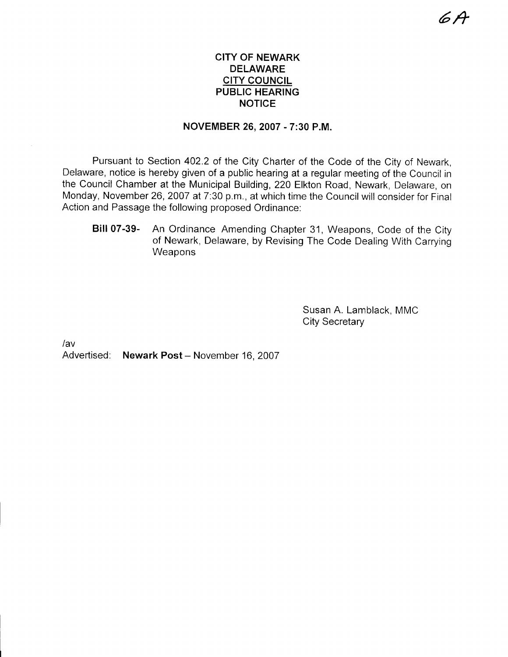## CITY OF NEWARK DELAWARE **CITY COUNCIL** PUBLIC HEARING NOTICE

### NOVEMBER 26. 2007 - 7:30 P.M.

Pursuant to Section 402.2 of the City Charter of the Code of the City of Newark, Delaware, notice is hereby given of a public hearing at a regular meeting of the Council in the Council Chamber at the Municipal Building, 220 Elkton Road, Newark, Delaware, on Monday, November 26, 2007 at 7:30 p.m., at which time the Council will consider for Final Action and Passage the following proposed Ordinance:

Bill 07-39- An Ordinance Amending Chapter 31, Weapons, Code of the City of Newark, Delaware, by Revising The Code Dealing With Carrying **Weapons** 

> Susan A. Lamblack. MMC City Secretary

/av

Advertised: Newark Post - November 16, 2007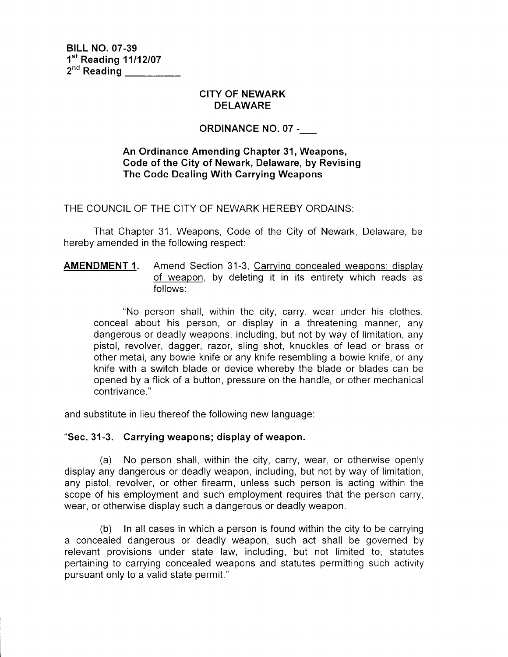B|LL NO. 07-39  $1<sup>st</sup>$  Reading 11/12/07 2<sup>nd</sup> Reading

### CITY OF NEWARK DELAWARE

# oRDINANCE NO. 07 -\_

## An Ordinance Amending Chapter 31, Weapons, Code of the City of Newark, Delaware, by Revising The Code Dealing With Carrying Weapons

THE COUNCIL OF THE CITY OF NEWARK HEREBY ORDAINS:

That Chapter 31, Weapons, Code of the City of Newark, Delaware, be hereby amended in the following respect:

## AMENDMENT 1. Amend Section 31-3, Carrying concealed weapons; displav of weapon, by deleting it in its entirety which reads as follows:

"No person shall, within the city, carry, wear under his clothes, conceal about his person, or display in a threatening manner, any dangerous or deadly weapons, including, but not by way of limitation, any pistol, revolver, dagger, razor, sling shot, knuckles of lead or brass or other metal, any bowie knife or any knife resembling a bowie knife, or any knife with a switch blade or device whereby the blade or blades can be opened by a flick of a button, pressure on the handle, or other mechanical contrivance."

and substitute in lieu thereof the following new language:

### "Sec.31-3. Carrying weapons; display of weapon.

(a) No person shall, within the city, carry, wear, or otherwise openly display any dangerous or deadly weapon, including, but not by way of limitation, any pistol, revolver, or other firearm, unless such person is acting within the scope of his employment and such employment requires that the person carry, wear, or otherwise display such a dangerous or deadly weapon.

(b) In all cases in which a person is found within the city to be carrying a concealed dangerous or deadly weapon, such act shall be governed by relevant provisions under state law, including, but not limited to, statutes pertaining to carrying concealed weapons and statutes permitting such activity pursuant only to a valid state permit."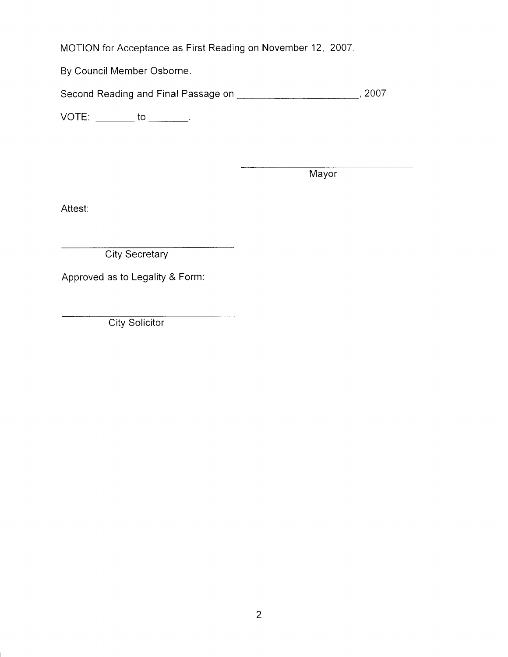MOTION for Acceptance as First Reading on November 12, 2007,

By Council Member Osborne.

Second Reading and Final Passage on ,2007

VOTE: to

**Mayor** 

Attest:

**City Secretary** 

Approved as to Legality & Form:

**City Solicitor**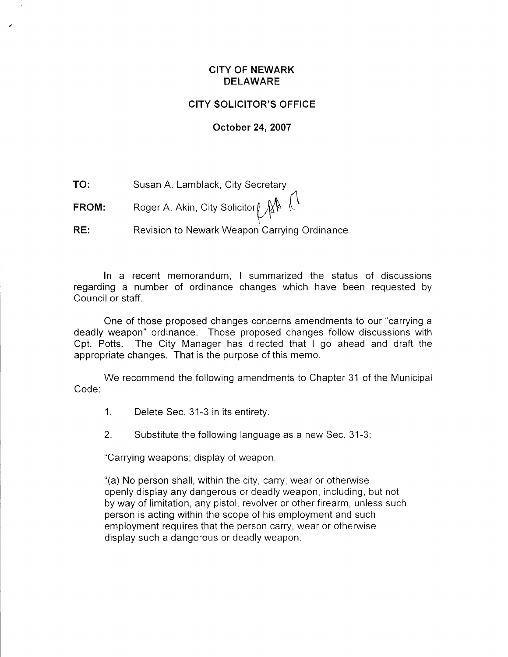## CITY OF NEWARK DELAWARE

## CITY SOLICITOR'S OFFICE

### October 24,2007

TO: Susan A. Lamblack, City Secretarv  $\overline{M}$ 

FROM:  $\qquad \qquad$  Roger A. Akin, City Solicitor $\oint \oint \oint \int$ v r

RE: Revision to Newark Weapon Carrying Ordinance

In a recent memorandum, I summarized the status of discussions regarding a number of ordinance changes which have been requested by Council or staff.

One of those proposed changes concerns amendments to our "carrying a deadly weapon" ordinance. Those proposed changes follow discussions with Cpt. Potts. The City Manager has directed that I go ahead and draft the appropriate changes. That is the purpose of this memo.

We recommend the following amendments to Chapter 31 of the Municipal Code:

- 1. Delete Sec. 31-3 in its entiretv.
- 2. Substitute the following language as a new Sec. 31-3:

"Carrying weapons; display of weapon.

"(a) No person shall, within the city, carry, wear or othenvise openly display any dangerous or deadly weapon, including, but not by way of limitation, any pistol, revolver or other firearm, unless such person is acting within the scope of his employment and such employment requires that the person carry, wear or otherwise display such a dangerous or deadly weapon.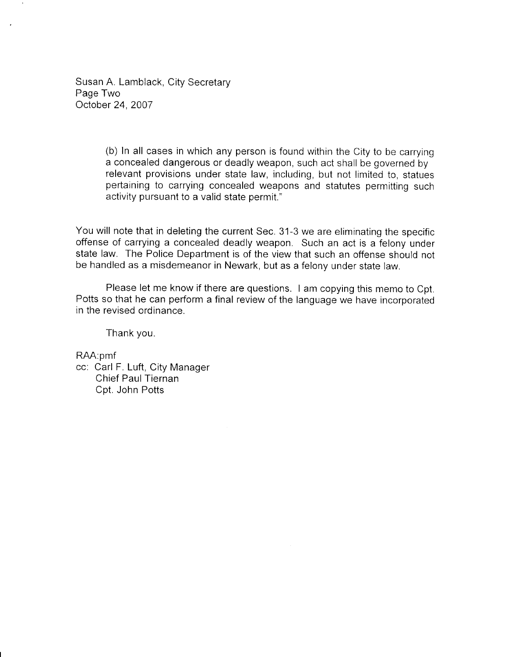Susan A. Lamblack, City Secretary Page Two October 24,2007

> (b) In all cases in which any person is found within the City to be carrying a concealed dangerous or deadly weapon, such act shall be governed by relevant provisions under state law, including, but not limited to, statues pertaining to carrying concealed weapons and statutes permitting such activity pursuant to a valid state permit."

You will note that in deleting the current Sec. 31-3 we are eliminating the specific offense of carrying a concealed deadly weapon. Such an act is a felony under state law. The Police Department is of the view that such an offense should not be handled as a misdemeanor in Newark, but as a felony under state law.

Please let me know if there are questions. I am copying this memo to Cpt. Potts so that he can perform a final review of the language we have incorporated in the revised ordinance.

Thank you.

RAA:pmf

cc: Carl F. Luft, City Manager Chief Paul Tiernan Cpt. John Potts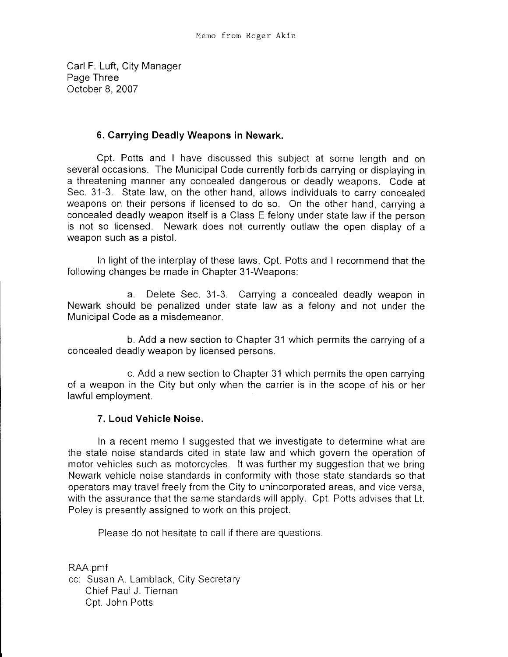Carl F. Luft, City Manager Page Three October 8.2007

# 6. Carrying Deadly Weapons in Newark.

Cpt. Potts and I have discussed this subject at some length and on several occasions. The Municipal Code currently forbids carrying or displaying in a threatening manner any concealed dangerous or deadly weapons. Code at Sec. 31-3. State law, on the other hand, allows individuals to carry concealed weapons on their persons if licensed to do so. On the other hand, carrying a concealed deadly weapon itself is a Class E felony under state law if the person is not so licensed. Newark does not currently outlaw the open display of a weapon such as a pistol.

In light of the interplay of these laws, Cpt. Potts and I recommend that the following changes be made in Chapter 31-Weapons:

a. Delete Sec. 31-3. Carrying a concealed deadly weapon in Newark should be penalized under state law as a felony and not under the Municipal Code as a misdemeanor.

b. Add a new section to Chapter 31 which permits the carrying of a concealed deadly weapon by licensed persons.

c. Add a new section to Chapter 31 which permits the open carrying of a weapon in the City but only when the carrier is in the scope of his or her lawful employment.

## 7. Loud Vehicle Noise.

ln a recent memo I suggested that we investigate to determine what are the state noise standards cited in state law and which govern the operation of motor vehicles such as motorcycles. lt was further my suggestion that we bring Newark vehicle noise standards in conformity with those state standards so that operators may travel freely from the City to unincorporated areas, and vice versa, with the assurance that the same standards will apply. Cpt. Potts advises that Lt. Poley is presently assigned to work on this project.

Please do not hesitate to call if there are questions.

RAA:pmf cc: Susan A. Lamblack, City Secretary Chief Paul J. Tiernan Cpt. John Potts